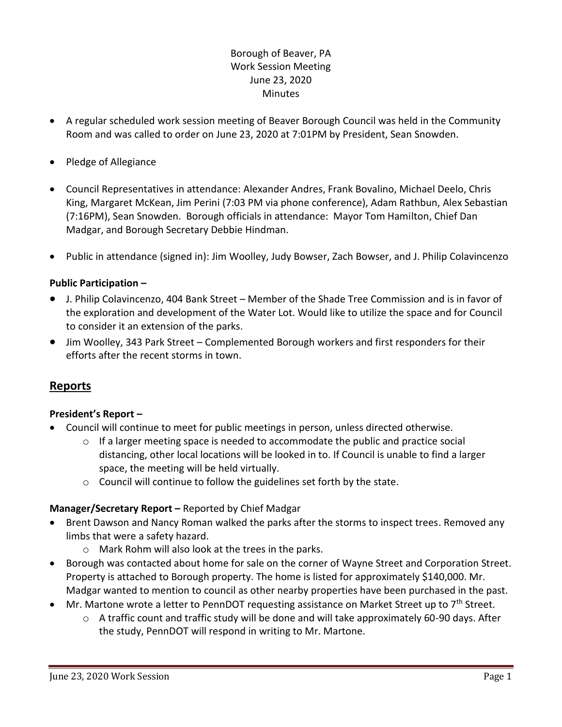# Borough of Beaver, PA Work Session Meeting June 23, 2020 Minutes

- A regular scheduled work session meeting of Beaver Borough Council was held in the Community Room and was called to order on June 23, 2020 at 7:01PM by President, Sean Snowden.
- Pledge of Allegiance
- Council Representatives in attendance: Alexander Andres, Frank Bovalino, Michael Deelo, Chris King, Margaret McKean, Jim Perini (7:03 PM via phone conference), Adam Rathbun, Alex Sebastian (7:16PM), Sean Snowden. Borough officials in attendance: Mayor Tom Hamilton, Chief Dan Madgar, and Borough Secretary Debbie Hindman.
- Public in attendance (signed in): Jim Woolley, Judy Bowser, Zach Bowser, and J. Philip Colavincenzo

# **Public Participation –**

- J. Philip Colavincenzo, 404 Bank Street Member of the Shade Tree Commission and is in favor of the exploration and development of the Water Lot. Would like to utilize the space and for Council to consider it an extension of the parks.
- Jim Woolley, 343 Park Street Complemented Borough workers and first responders for their efforts after the recent storms in town.

# **Reports**

## **President's Report –**

- Council will continue to meet for public meetings in person, unless directed otherwise.
	- $\circ$  If a larger meeting space is needed to accommodate the public and practice social distancing, other local locations will be looked in to. If Council is unable to find a larger space, the meeting will be held virtually.
	- $\circ$  Council will continue to follow the guidelines set forth by the state.

## **Manager/Secretary Report –** Reported by Chief Madgar

- Brent Dawson and Nancy Roman walked the parks after the storms to inspect trees. Removed any limbs that were a safety hazard.
	- o Mark Rohm will also look at the trees in the parks.
- Borough was contacted about home for sale on the corner of Wayne Street and Corporation Street. Property is attached to Borough property. The home is listed for approximately \$140,000. Mr. Madgar wanted to mention to council as other nearby properties have been purchased in the past.
- Mr. Martone wrote a letter to PennDOT requesting assistance on Market Street up to 7<sup>th</sup> Street.
	- $\circ$  A traffic count and traffic study will be done and will take approximately 60-90 days. After the study, PennDOT will respond in writing to Mr. Martone.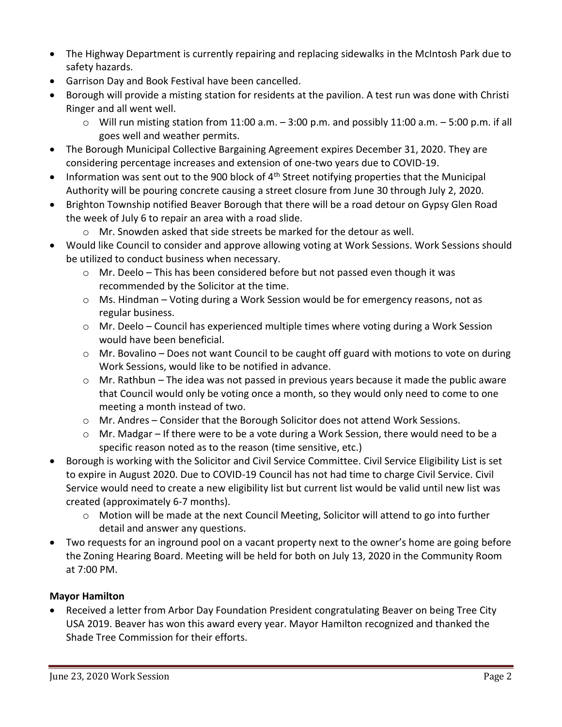- The Highway Department is currently repairing and replacing sidewalks in the McIntosh Park due to safety hazards.
- Garrison Day and Book Festival have been cancelled.
- Borough will provide a misting station for residents at the pavilion. A test run was done with Christi Ringer and all went well.
	- $\circ$  Will run misting station from 11:00 a.m.  $-$  3:00 p.m. and possibly 11:00 a.m.  $-$  5:00 p.m. if all goes well and weather permits.
- The Borough Municipal Collective Bargaining Agreement expires December 31, 2020. They are considering percentage increases and extension of one-two years due to COVID-19.
- Information was sent out to the 900 block of  $4<sup>th</sup>$  Street notifying properties that the Municipal Authority will be pouring concrete causing a street closure from June 30 through July 2, 2020.
- Brighton Township notified Beaver Borough that there will be a road detour on Gypsy Glen Road the week of July 6 to repair an area with a road slide.
	- $\circ$  Mr. Snowden asked that side streets be marked for the detour as well.
- Would like Council to consider and approve allowing voting at Work Sessions. Work Sessions should be utilized to conduct business when necessary.
	- o Mr. Deelo This has been considered before but not passed even though it was recommended by the Solicitor at the time.
	- o Ms. Hindman Voting during a Work Session would be for emergency reasons, not as regular business.
	- o Mr. Deelo Council has experienced multiple times where voting during a Work Session would have been beneficial.
	- o Mr. Bovalino Does not want Council to be caught off guard with motions to vote on during Work Sessions, would like to be notified in advance.
	- $\circ$  Mr. Rathbun The idea was not passed in previous years because it made the public aware that Council would only be voting once a month, so they would only need to come to one meeting a month instead of two.
	- $\circ$  Mr. Andres Consider that the Borough Solicitor does not attend Work Sessions.
	- o Mr. Madgar If there were to be a vote during a Work Session, there would need to be a specific reason noted as to the reason (time sensitive, etc.)
- Borough is working with the Solicitor and Civil Service Committee. Civil Service Eligibility List is set to expire in August 2020. Due to COVID-19 Council has not had time to charge Civil Service. Civil Service would need to create a new eligibility list but current list would be valid until new list was created (approximately 6-7 months).
	- o Motion will be made at the next Council Meeting, Solicitor will attend to go into further detail and answer any questions.
- Two requests for an inground pool on a vacant property next to the owner's home are going before the Zoning Hearing Board. Meeting will be held for both on July 13, 2020 in the Community Room at 7:00 PM.

# **Mayor Hamilton**

 Received a letter from Arbor Day Foundation President congratulating Beaver on being Tree City USA 2019. Beaver has won this award every year. Mayor Hamilton recognized and thanked the Shade Tree Commission for their efforts.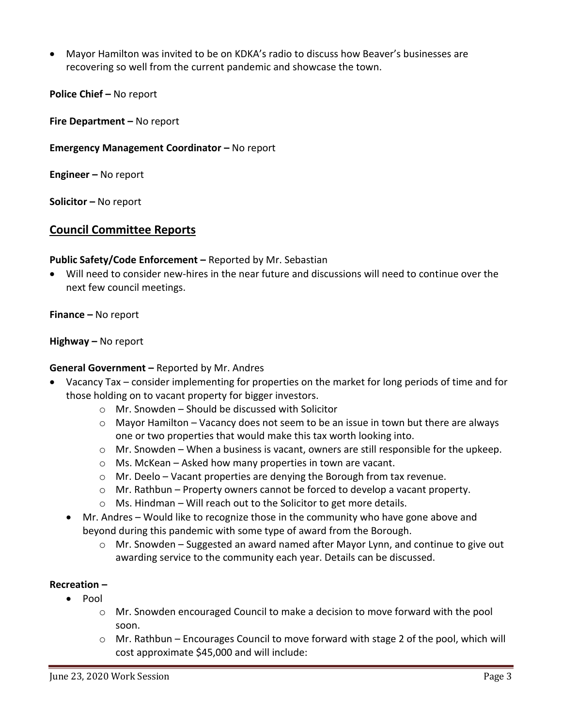Mayor Hamilton was invited to be on KDKA's radio to discuss how Beaver's businesses are recovering so well from the current pandemic and showcase the town.

**Police Chief – No report** 

**Fire Department –** No report

# **Emergency Management Coordinator – No report**

**Engineer –** No report

**Solicitor –** No report

# **Council Committee Reports**

## **Public Safety/Code Enforcement –** Reported by Mr. Sebastian

 Will need to consider new-hires in the near future and discussions will need to continue over the next few council meetings.

**Finance –** No report

#### **Highway –** No report

## **General Government –** Reported by Mr. Andres

- Vacancy Tax consider implementing for properties on the market for long periods of time and for those holding on to vacant property for bigger investors.
	- $\circ$  Mr. Snowden Should be discussed with Solicitor
	- $\circ$  Mayor Hamilton Vacancy does not seem to be an issue in town but there are always one or two properties that would make this tax worth looking into.
	- o Mr. Snowden When a business is vacant, owners are still responsible for the upkeep.
	- o Ms. McKean Asked how many properties in town are vacant.
	- $\circ$  Mr. Deelo Vacant properties are denying the Borough from tax revenue.
	- $\circ$  Mr. Rathbun Property owners cannot be forced to develop a vacant property.
	- $\circ$  Ms. Hindman Will reach out to the Solicitor to get more details.
	- Mr. Andres Would like to recognize those in the community who have gone above and beyond during this pandemic with some type of award from the Borough.
		- $\circ$  Mr. Snowden Suggested an award named after Mayor Lynn, and continue to give out awarding service to the community each year. Details can be discussed.

## **Recreation –**

- $\bullet$  Pool
	- $\circ$  Mr. Snowden encouraged Council to make a decision to move forward with the pool soon.
	- $\circ$  Mr. Rathbun Encourages Council to move forward with stage 2 of the pool, which will cost approximate \$45,000 and will include: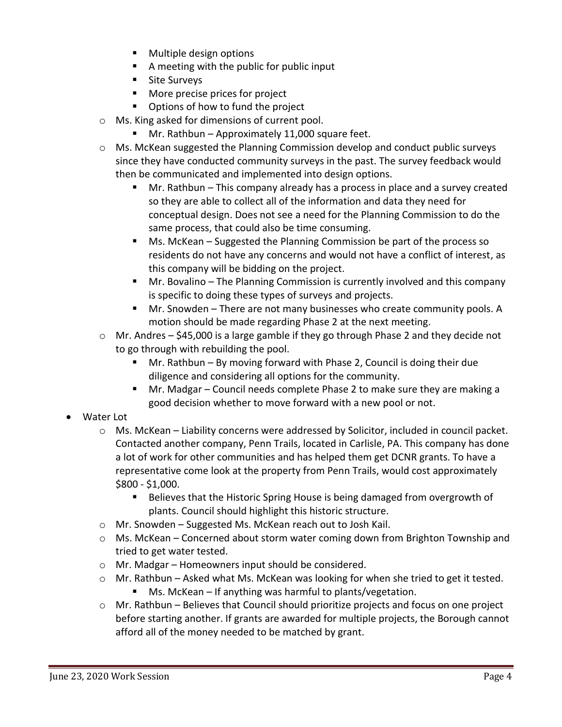- Multiple design options
- A meeting with the public for public input
- **Site Surveys**
- **More precise prices for project**
- **•** Options of how to fund the project
- o Ms. King asked for dimensions of current pool.
	- Mr. Rathbun Approximately 11,000 square feet.
- $\circ$  Ms. McKean suggested the Planning Commission develop and conduct public surveys since they have conducted community surveys in the past. The survey feedback would then be communicated and implemented into design options.
	- Mr. Rathbun This company already has a process in place and a survey created so they are able to collect all of the information and data they need for conceptual design. Does not see a need for the Planning Commission to do the same process, that could also be time consuming.
	- Ms. McKean Suggested the Planning Commission be part of the process so residents do not have any concerns and would not have a conflict of interest, as this company will be bidding on the project.
	- Mr. Bovalino The Planning Commission is currently involved and this company is specific to doing these types of surveys and projects.
	- Mr. Snowden There are not many businesses who create community pools. A motion should be made regarding Phase 2 at the next meeting.
- $\circ$  Mr. Andres \$45,000 is a large gamble if they go through Phase 2 and they decide not to go through with rebuilding the pool.
	- Mr. Rathbun By moving forward with Phase 2, Council is doing their due diligence and considering all options for the community.
	- Mr. Madgar Council needs complete Phase 2 to make sure they are making a good decision whether to move forward with a new pool or not.
- Water Lot
	- $\circ$  Ms. McKean Liability concerns were addressed by Solicitor, included in council packet. Contacted another company, Penn Trails, located in Carlisle, PA. This company has done a lot of work for other communities and has helped them get DCNR grants. To have a representative come look at the property from Penn Trails, would cost approximately \$800 - \$1,000.
		- **Believes that the Historic Spring House is being damaged from overgrowth of** plants. Council should highlight this historic structure.
	- o Mr. Snowden Suggested Ms. McKean reach out to Josh Kail.
	- $\circ$  Ms. McKean Concerned about storm water coming down from Brighton Township and tried to get water tested.
	- o Mr. Madgar Homeowners input should be considered.
	- $\circ$  Mr. Rathbun Asked what Ms. McKean was looking for when she tried to get it tested.
		- Ms. McKean If anything was harmful to plants/vegetation.
	- o Mr. Rathbun Believes that Council should prioritize projects and focus on one project before starting another. If grants are awarded for multiple projects, the Borough cannot afford all of the money needed to be matched by grant.